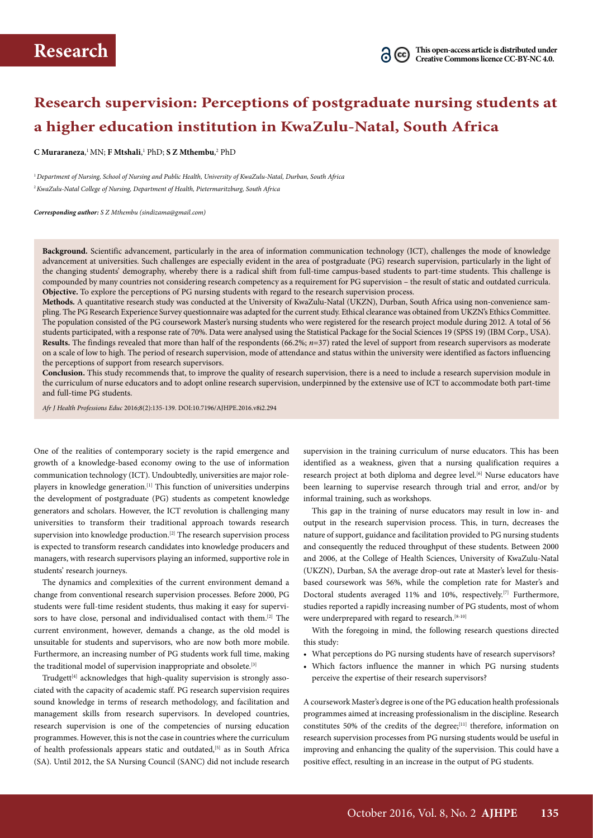# **Research supervision: Perceptions of postgraduate nursing students at a higher education institution in KwaZulu-Natal, South Africa**

**C Muraraneza**, 1 MN; **F Mtshali**, 1 PhD; **S Z Mthembu**, 2 PhD

<sup>1</sup>*Department of Nursing, School of Nursing and Public Health, University of KwaZulu-Natal, Durban, South Africa* <sup>2</sup>*KwaZulu-Natal College of Nursing, Department of Health, Pietermaritzburg, South Africa*

*Corresponding author: S Z Mthembu (sindizama@gmail.com)*

**Background.** Scientific advancement, particularly in the area of information communication technology (ICT), challenges the mode of knowledge advancement at universities. Such challenges are especially evident in the area of postgraduate (PG) research supervision, particularly in the light of the changing students' demography, whereby there is a radical shift from full-time campus-based students to part-time students. This challenge is compounded by many countries not considering research competency as a requirement for PG supervision – the result of static and outdated curricula. **Objective.** To explore the perceptions of PG nursing students with regard to the research supervision process.

**Methods.** A quantitative research study was conducted at the University of KwaZulu-Natal (UKZN), Durban, South Africa using non-convenience sampling. The PG Research Experience Survey questionnaire was adapted for the current study. Ethical clearance was obtained from UKZN's Ethics Committee. The population consisted of the PG coursework Master's nursing students who were registered for the research project module during 2012. A total of 56 students participated, with a response rate of 70%. Data were analysed using the Statistical Package for the Social Sciences 19 (SPSS 19) (IBM Corp., USA). **Results.** The findings revealed that more than half of the respondents (66.2%; *n*=37) rated the level of support from research supervisors as moderate on a scale of low to high. The period of research supervision, mode of attendance and status within the university were identified as factors influencing the perceptions of support from research supervisors.

**Conclusion.** This study recommends that, to improve the quality of research supervision, there is a need to include a research supervision module in the curriculum of nurse educators and to adopt online research supervision, underpinned by the extensive use of ICT to accommodate both part-time and full-time PG students.

*Afr J Health Professio*n*s Educ* 2016;8(2):135-139. DOI:10.7196/AJHPE.2016.v8i2.294

One of the realities of contemporary society is the rapid emergence and growth of a knowledge-based economy owing to the use of information communication technology (ICT). Undoubtedly, universities are major roleplayers in knowledge generation.[1] This function of universities underpins the development of postgraduate (PG) students as competent knowledge generators and scholars. However, the ICT revolution is challenging many universities to transform their traditional approach towards research supervision into knowledge production.<sup>[2]</sup> The research supervision process is expected to transform research candidates into knowledge producers and managers, with research supervisors playing an informed, supportive role in students' research journeys.

The dynamics and complexities of the current environment demand a change from conventional research supervision processes. Before 2000, PG students were full-time resident students, thus making it easy for supervisors to have close, personal and individualised contact with them.<sup>[2]</sup> The current environment, however, demands a change, as the old model is unsuitable for students and supervisors, who are now both more mobile. Furthermore, an increasing number of PG students work full time, making the traditional model of supervision inappropriate and obsolete.<sup>[3]</sup>

Trudgett $[4]$  acknowledges that high-quality supervision is strongly associated with the capacity of academic staff. PG research supervision requires sound knowledge in terms of research methodology, and facilitation and management skills from research supervisors. In developed countries, research supervision is one of the competencies of nursing education programmes. However, this is not the case in countries where the curriculum of health professionals appears static and outdated,<sup>[5]</sup> as in South Africa (SA). Until 2012, the SA Nursing Council (SANC) did not include research

supervision in the training curriculum of nurse educators. This has been identified as a weakness, given that a nursing qualification requires a research project at both diploma and degree level.<sup>[6]</sup> Nurse educators have been learning to supervise research through trial and error, and/or by informal training, such as workshops.

This gap in the training of nurse educators may result in low in- and output in the research supervision process. This, in turn, decreases the nature of support, guidance and facilitation provided to PG nursing students and consequently the reduced throughput of these students. Between 2000 and 2006, at the College of Health Sciences, University of KwaZulu-Natal (UKZN), Durban, SA the average drop-out rate at Master's level for thesisbased coursework was 56%, while the completion rate for Master's and Doctoral students averaged 11% and 10%, respectively.<sup>[7]</sup> Furthermore, studies reported a rapidly increasing number of PG students, most of whom were underprepared with regard to research.<sup>[8-10]</sup>

With the foregoing in mind, the following research questions directed this study:

- What perceptions do PG nursing students have of research supervisors?
- Which factors influence the manner in which PG nursing students perceive the expertise of their research supervisors?

A coursework Master's degree is one of the PG education health professionals programmes aimed at increasing professionalism in the discipline. Research constitutes 50% of the credits of the degree;<sup>[11]</sup> therefore, information on research supervision processes from PG nursing students would be useful in improving and enhancing the quality of the supervision. This could have a positive effect, resulting in an increase in the output of PG students.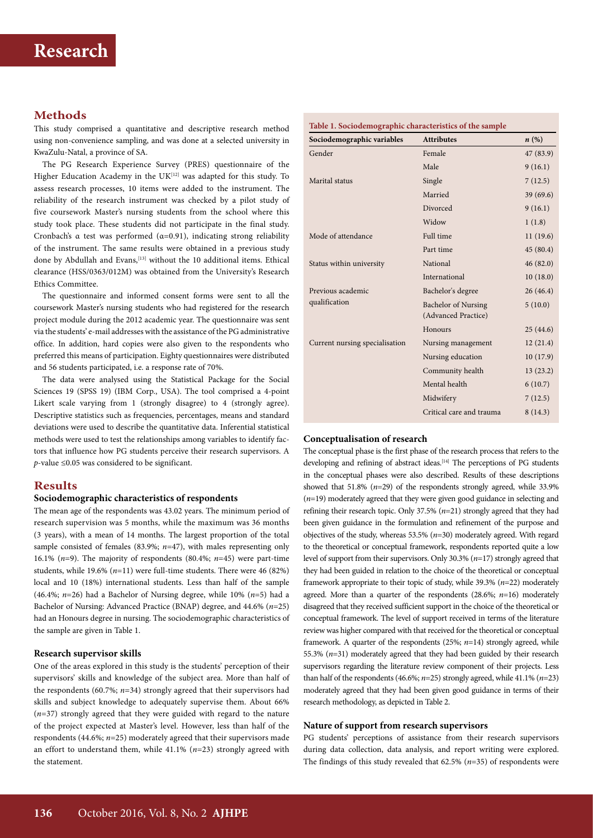# **Methods**

This study comprised a quantitative and descriptive research method using non-convenience sampling, and was done at a selected university in KwaZulu-Natal, a province of SA.

The PG Research Experience Survey (PRES) questionnaire of the Higher Education Academy in the  $UK^{[12]}$  was adapted for this study. To assess research processes, 10 items were added to the instrument. The reliability of the research instrument was checked by a pilot study of five coursework Master's nursing students from the school where this study took place. These students did not participate in the final study. Cronbach's  $\alpha$  test was performed ( $\alpha$ =0.91), indicating strong reliability of the instrument. The same results were obtained in a previous study done by Abdullah and Evans,<sup>[13]</sup> without the 10 additional items. Ethical clearance (HSS/0363/012M) was obtained from the University's Research Ethics Committee.

The questionnaire and informed consent forms were sent to all the coursework Master's nursing students who had registered for the research project module during the 2012 academic year. The questionnaire was sent via the students' e-mail addresses with the assistance of the PG administrative office. In addition, hard copies were also given to the respondents who preferred this means of participation. Eighty questionnaires were distributed and 56 students participated, i.e. a response rate of 70%.

The data were analysed using the Statistical Package for the Social Sciences 19 (SPSS 19) (IBM Corp., USA). The tool comprised a 4-point Likert scale varying from 1 (strongly disagree) to 4 (strongly agree). Descriptive statistics such as frequencies, percentages, means and standard deviations were used to describe the quantitative data. Inferential statistical methods were used to test the relationships among variables to identify factors that influence how PG students perceive their research supervisors. A *p*-value ≤0.05 was considered to be significant.

# **Results**

#### **Sociodemographic characteristics of respondents**

The mean age of the respondents was 43.02 years. The minimum period of research supervision was 5 months, while the maximum was 36 months (3 years), with a mean of 14 months. The largest proportion of the total sample consisted of females (83.9%; *n*=47), with males representing only 16.1% ( $n=9$ ). The majority of respondents (80.4%;  $n=45$ ) were part-time students, while 19.6% (*n*=11) were full-time students. There were 46 (82%) local and 10 (18%) international students. Less than half of the sample (46.4%; *n*=26) had a Bachelor of Nursing degree, while 10% (*n*=5) had a Bachelor of Nursing: Advanced Practice (BNAP) degree, and 44.6% (*n*=25) had an Honours degree in nursing. The sociodemographic characteristics of the sample are given in Table 1.

### **Research supervisor skills**

One of the areas explored in this study is the students' perception of their supervisors' skills and knowledge of the subject area. More than half of the respondents (60.7%; *n*=34) strongly agreed that their supervisors had skills and subject knowledge to adequately supervise them. About 66% (*n*=37) strongly agreed that they were guided with regard to the nature of the project expected at Master's level. However, less than half of the respondents (44.6%; *n*=25) moderately agreed that their supervisors made an effort to understand them, while 41.1% (*n*=23) strongly agreed with the statement.

| Sociodemographic variables         | <b>Attributes</b>                                 | n(%)      |
|------------------------------------|---------------------------------------------------|-----------|
| Gender                             | Female                                            | 47 (83.9) |
|                                    | Male                                              | 9(16.1)   |
| Marital status                     | Single                                            | 7(12.5)   |
|                                    | Married                                           | 39 (69.6) |
|                                    | Divorced                                          | 9(16.1)   |
|                                    | Widow                                             | 1(1.8)    |
| Mode of attendance                 | Full time                                         | 11(19.6)  |
|                                    | Part time                                         | 45(80.4)  |
| Status within university           | National                                          | 46(82.0)  |
|                                    | International                                     | 10(18.0)  |
| Previous academic<br>qualification | Bachelor's degree                                 | 26(46.4)  |
|                                    | <b>Bachelor of Nursing</b><br>(Advanced Practice) | 5(10.0)   |
|                                    | Honours                                           | 25(44.6)  |
| Current nursing specialisation     | Nursing management                                | 12(21.4)  |
|                                    | Nursing education                                 | 10(17.9)  |
|                                    | Community health                                  | 13(23.2)  |
|                                    | Mental health                                     | 6(10.7)   |
|                                    | Midwifery                                         | 7(12.5)   |
|                                    | Critical care and trauma                          | 8(14.3)   |
|                                    |                                                   |           |

#### **Conceptualisation of research**

The conceptual phase is the first phase of the research process that refers to the developing and refining of abstract ideas.<sup>[14]</sup> The perceptions of PG students in the conceptual phases were also described. Results of these descriptions showed that 51.8% (*n*=29) of the respondents strongly agreed, while 33.9% (*n*=19) moderately agreed that they were given good guidance in selecting and refining their research topic. Only 37.5% (*n*=21) strongly agreed that they had been given guidance in the formulation and refinement of the purpose and objectives of the study, whereas 53.5% (*n*=30) moderately agreed. With regard to the theoretical or conceptual framework, respondents reported quite a low level of support from their supervisors. Only 30.3% (*n*=17) strongly agreed that they had been guided in relation to the choice of the theoretical or conceptual framework appropriate to their topic of study, while 39.3% (*n*=22) moderately agreed. More than a quarter of the respondents (28.6%; *n*=16) moderately disagreed that they received sufficient support in the choice of the theoretical or conceptual framework. The level of support received in terms of the literature review was higher compared with that received for the theoretical or conceptual framework. A quarter of the respondents (25%; *n*=14) strongly agreed, while 55.3% (*n*=31) moderately agreed that they had been guided by their research supervisors regarding the literature review component of their projects. Less than half of the respondents (46.6%;  $n=25$ ) strongly agreed, while 41.1% ( $n=23$ ) moderately agreed that they had been given good guidance in terms of their research methodology, as depicted in Table 2.

### **Nature of support from research supervisors**

PG students' perceptions of assistance from their research supervisors during data collection, data analysis, and report writing were explored. The findings of this study revealed that 62.5% (*n*=35) of respondents were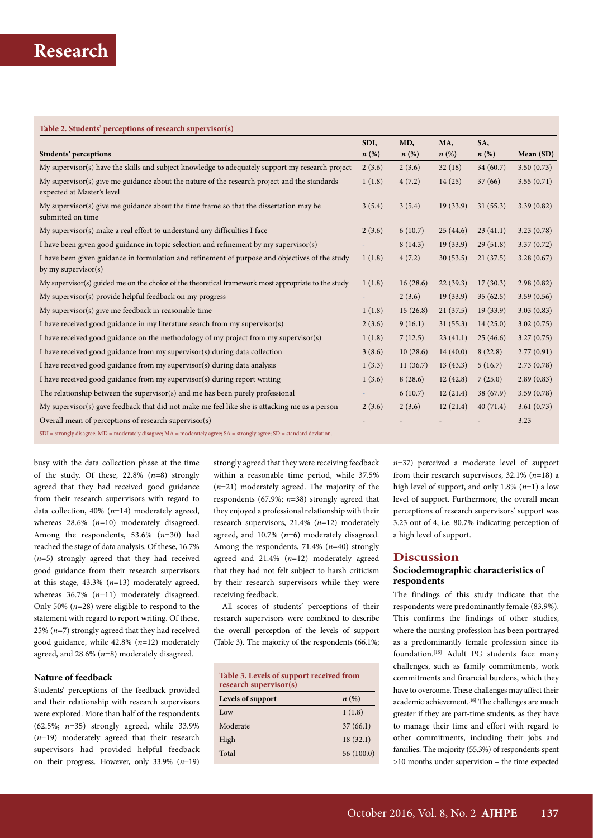| Table 2. Students' perceptions of research supervisor(s)                                                                     |                            |                |             |             |            |  |
|------------------------------------------------------------------------------------------------------------------------------|----------------------------|----------------|-------------|-------------|------------|--|
| <b>Students' perceptions</b>                                                                                                 | SDI,<br>$n\left(\%\right)$ | MD,<br>$n(\%)$ | MA,<br>n(%) | SA,<br>n(%) | Mean (SD   |  |
| My supervisor(s) have the skills and subject knowledge to adequately support my research project                             | 2(3.6)                     | 2(3.6)         | 32(18)      | 34(60.7)    | 3.50(0.73) |  |
| $My$ supervisor(s) give me guidance about the nature of the research project and the standards<br>expected at Master's level | 1(1.8)                     | 4(7.2)         | 14(25)      | 37(66)      | 3.55(0.71) |  |
| $My$ supervisor(s) give me guidance about the time frame so that the dissertation may be<br>submitted on time                | 3(5.4)                     | 3(5.4)         | 19(33.9)    | 31(55.3)    | 3.39(0.82) |  |
| My supervisor(s) make a real effort to understand any difficulties I face                                                    | 2(3.6)                     | 6(10.7)        | 25(44.6)    | 23(41.1)    | 3.23(0.78) |  |
| I have been given good guidance in topic selection and refinement by my supervisor(s)                                        |                            | 8(14.3)        | 19(33.9)    | 29(51.8)    | 3.37(0.72) |  |
| I have been given guidance in formulation and refinement of purpose and objectives of the study<br>by my supervisor $(s)$    | 1(1.8)                     | 4(7.2)         | 30(53.5)    | 21(37.5)    | 3.28(0.67) |  |
| My supervisor(s) guided me on the choice of the theoretical framework most appropriate to the study                          | 1(1.8)                     | 16(28.6)       | 22(39.3)    | 17(30.3)    | 2.98(0.82) |  |
| My supervisor(s) provide helpful feedback on my progress                                                                     |                            | 2(3.6)         | 19(33.9)    | 35(62.5)    | 3.59(0.56) |  |
| My supervisor(s) give me feedback in reasonable time                                                                         | 1(1.8)                     | 15(26.8)       | 21(37.5)    | 19(33.9)    | 3.03(0.83) |  |
| I have received good guidance in my literature search from my supervisor(s)                                                  | 2(3.6)                     | 9(16.1)        | 31(55.3)    | 14(25.0)    | 3.02(0.75) |  |
| I have received good guidance on the methodology of my project from my supervisor(s)                                         | 1(1.8)                     | 7(12.5)        | 23(41.1)    | 25(46.6)    | 3.27(0.75) |  |
| I have received good guidance from my supervisor(s) during data collection                                                   | 3(8.6)                     | 10(28.6)       | 14(40.0)    | 8(22.8)     | 2.77(0.91) |  |
| I have received good guidance from my supervisor(s) during data analysis                                                     | 1(3.3)                     | 11(36.7)       | 13(43.3)    | 5(16.7)     | 2.73(0.78) |  |
| I have received good guidance from my supervisor(s) during report writing                                                    | 1(3.6)                     | 8(28.6)        | 12(42.8)    | 7(25.0)     | 2.89(0.83) |  |
| The relationship between the supervisor(s) and me has been purely professional                                               |                            | 6(10.7)        | 12(21.4)    | 38 (67.9)   | 3.59(0.78) |  |
| My supervisor(s) gave feedback that did not make me feel like she is attacking me as a person                                | 2(3.6)                     | 2(3.6)         | 12(21.4)    | 40(71.4)    | 3.61(0.73) |  |
| Overall mean of perceptions of research supervisor(s)                                                                        |                            |                |             |             | 3.23       |  |
| SDI = strongly disagree; MD = moderately disagree; MA = moderately agree; SA = strongly agree; SD = standard deviation.      |                            |                |             |             |            |  |

busy with the data collection phase at the time of the study. Of these, 22.8% (*n*=8) strongly agreed that they had received good guidance from their research supervisors with regard to data collection, 40% (*n*=14) moderately agreed, whereas 28.6% (*n*=10) moderately disagreed. Among the respondents, 53.6% (*n*=30) had reached the stage of data analysis. Of these, 16.7% (*n*=5) strongly agreed that they had received good guidance from their research supervisors at this stage, 43.3% (*n*=13) moderately agreed, whereas 36.7% (*n*=11) moderately disagreed. Only 50% (*n*=28) were eligible to respond to the statement with regard to report writing. Of these, 25% (*n*=7) strongly agreed that they had received good guidance, while 42.8% (*n*=12) moderately agreed, and 28.6% (*n*=8) moderately disagreed.

### **Nature of feedback**

Students' perceptions of the feedback provided and their relationship with research supervisors were explored. More than half of the respondents (62.5%; *n*=35) strongly agreed, while 33.9% (*n*=19) moderately agreed that their research supervisors had provided helpful feedback on their progress. However, only 33.9% (*n*=19)

strongly agreed that they were receiving feedback within a reasonable time period, while 37.5% (*n*=21) moderately agreed. The majority of the respondents (67.9%; *n*=38) strongly agreed that they enjoyed a professional relationship with their research supervisors, 21.4% (*n*=12) moderately agreed, and 10.7% (*n*=6) moderately disagreed. Among the respondents, 71.4% (*n*=40) strongly agreed and 21.4% (*n*=12) moderately agreed that they had not felt subject to harsh criticism by their research supervisors while they were receiving feedback.

All scores of students' perceptions of their research supervisors were combined to describe the overall perception of the levels of support (Table 3). The majority of the respondents (66.1%;

| Table 3. Levels of support received from<br>research supervisor(s) |           |  |  |
|--------------------------------------------------------------------|-----------|--|--|
| Levels of support                                                  | n(%)      |  |  |
| Low                                                                | 1(1.8)    |  |  |
| Moderate                                                           | 37(66.1)  |  |  |
| High                                                               | 18(32.1)  |  |  |
| Total                                                              | 56(100.0) |  |  |

*n*=37) perceived a moderate level of support from their research supervisors, 32.1% (*n*=18) a high level of support, and only 1.8% (*n*=1) a low level of support. Furthermore, the overall mean perceptions of research supervisors' support was 3.23 out of 4, i.e. 80.7% indicating perception of a high level of support.

*n* **(%) Mean (SD)**

# **Discussion**

## **Sociodemographic characteristics of respondents**

The findings of this study indicate that the respondents were predominantly female (83.9%). This confirms the findings of other studies, where the nursing profession has been portrayed as a predominantly female profession since its foundation.<sup>[15]</sup> Adult PG students face many challenges, such as family commitments, work commitments and financial burdens, which they have to overcome. These challenges may affect their academic achievement.<sup>[16]</sup> The challenges are much greater if they are part-time students, as they have to manage their time and effort with regard to other commitments, including their jobs and families. The majority (55.3%) of respondents spent >10 months under supervision – the time expected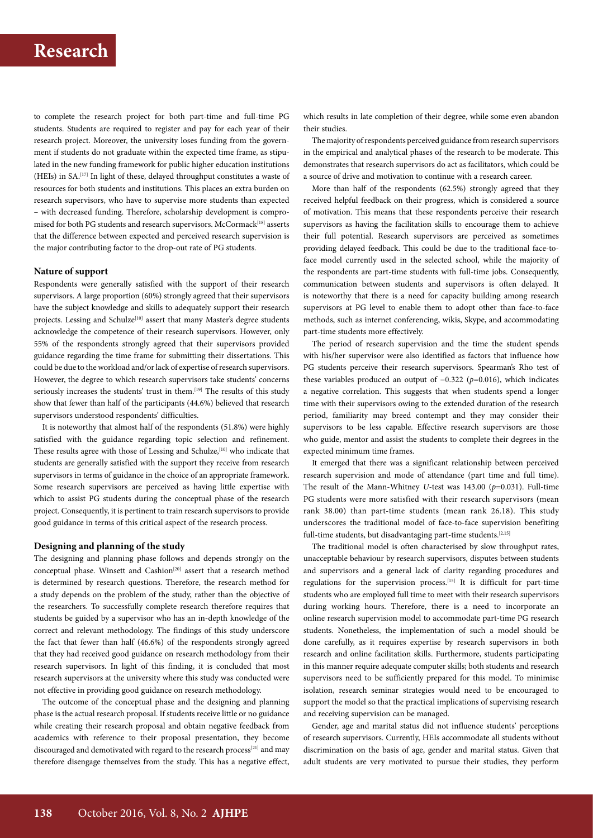# **Research**

to complete the research project for both part-time and full-time PG students. Students are required to register and pay for each year of their research project. Moreover, the university loses funding from the government if students do not graduate within the expected time frame, as stipulated in the new funding framework for public higher education institutions (HEIs) in SA.[17] In light of these, delayed throughput constitutes a waste of resources for both students and institutions. This places an extra burden on research supervisors, who have to supervise more students than expected – with decreased funding. Therefore, scholarship development is compromised for both PG students and research supervisors. McCormack<sup>[18]</sup> asserts that the difference between expected and perceived research supervision is the major contributing factor to the drop-out rate of PG students.

### **Nature of support**

Respondents were generally satisfied with the support of their research supervisors. A large proportion (60%) strongly agreed that their supervisors have the subject knowledge and skills to adequately support their research projects. Lessing and Schulze<sup>[10]</sup> assert that many Master's degree students acknowledge the competence of their research supervisors. However, only 55% of the respondents strongly agreed that their supervisors provided guidance regarding the time frame for submitting their dissertations. This could be due to the workload and/or lack of expertise of research supervisors. However, the degree to which research supervisors take students' concerns seriously increases the students' trust in them.<sup>[19]</sup> The results of this study show that fewer than half of the participants (44.6%) believed that research supervisors understood respondents' difficulties.

It is noteworthy that almost half of the respondents (51.8%) were highly satisfied with the guidance regarding topic selection and refinement. These results agree with those of Lessing and Schulze,<sup>[10]</sup> who indicate that students are generally satisfied with the support they receive from research supervisors in terms of guidance in the choice of an appropriate framework. Some research supervisors are perceived as having little expertise with which to assist PG students during the conceptual phase of the research project. Consequently, it is pertinent to train research supervisors to provide good guidance in terms of this critical aspect of the research process.

#### **Designing and planning of the study**

The designing and planning phase follows and depends strongly on the conceptual phase. Winsett and Cashion<sup>[20]</sup> assert that a research method is determined by research questions. Therefore, the research method for a study depends on the problem of the study, rather than the objective of the researchers. To successfully complete research therefore requires that students be guided by a supervisor who has an in-depth knowledge of the correct and relevant methodology. The findings of this study underscore the fact that fewer than half (46.6%) of the respondents strongly agreed that they had received good guidance on research methodology from their research supervisors. In light of this finding, it is concluded that most research supervisors at the university where this study was conducted were not effective in providing good guidance on research methodology.

The outcome of the conceptual phase and the designing and planning phase is the actual research proposal. If students receive little or no guidance while creating their research proposal and obtain negative feedback from academics with reference to their proposal presentation, they become discouraged and demotivated with regard to the research process<sup>[21]</sup> and may therefore disengage themselves from the study. This has a negative effect, which results in late completion of their degree, while some even abandon their studies.

The majority of respondents perceived guidance from research supervisors in the empirical and analytical phases of the research to be moderate. This demonstrates that research supervisors do act as facilitators, which could be a source of drive and motivation to continue with a research career.

More than half of the respondents (62.5%) strongly agreed that they received helpful feedback on their progress, which is considered a source of motivation. This means that these respondents perceive their research supervisors as having the facilitation skills to encourage them to achieve their full potential. Research supervisors are perceived as sometimes providing delayed feedback. This could be due to the traditional face-toface model currently used in the selected school, while the majority of the respondents are part-time students with full-time jobs. Consequently, communication between students and supervisors is often delayed. It is noteworthy that there is a need for capacity building among research supervisors at PG level to enable them to adopt other than face-to-face methods, such as internet conferencing, wikis, Skype, and accommodating part-time students more effectively.

The period of research supervision and the time the student spends with his/her supervisor were also identified as factors that influence how PG students perceive their research supervisors. Spearman's Rho test of these variables produced an output of −0.322 (*p*=0.016), which indicates a negative correlation. This suggests that when students spend a longer time with their supervisors owing to the extended duration of the research period, familiarity may breed contempt and they may consider their supervisors to be less capable. Effective research supervisors are those who guide, mentor and assist the students to complete their degrees in the expected minimum time frames.

It emerged that there was a significant relationship between perceived research supervision and mode of attendance (part time and full time). The result of the Mann-Whitney *U*-test was 143.00 (*p=*0.031). Full-time PG students were more satisfied with their research supervisors (mean rank 38.00) than part-time students (mean rank 26.18). This study underscores the traditional model of face-to-face supervision benefiting full-time students, but disadvantaging part-time students.<sup>[2,15]</sup>

The traditional model is often characterised by slow throughput rates, unacceptable behaviour by research supervisors, disputes between students and supervisors and a general lack of clarity regarding procedures and regulations for the supervision process.<sup>[15]</sup> It is difficult for part-time students who are employed full time to meet with their research supervisors during working hours. Therefore, there is a need to incorporate an online research supervision model to accommodate part-time PG research students. Nonetheless, the implementation of such a model should be done carefully, as it requires expertise by research supervisors in both research and online facilitation skills. Furthermore, students participating in this manner require adequate computer skills; both students and research supervisors need to be sufficiently prepared for this model. To minimise isolation, research seminar strategies would need to be encouraged to support the model so that the practical implications of supervising research and receiving supervision can be managed.

Gender, age and marital status did not influence students' perceptions of research supervisors. Currently, HEIs accommodate all students without discrimination on the basis of age, gender and marital status. Given that adult students are very motivated to pursue their studies, they perform